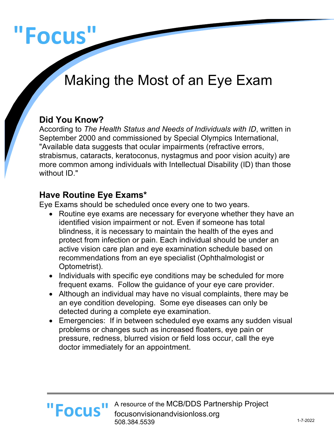# **"Focus"**

# Making the Most of an Eye Exam

#### **Did You Know?**

According to *The Health Status and Needs of Individuals with ID*, written in September 2000 and commissioned by Special Olympics International, "Available data suggests that ocular impairments (refractive errors, strabismus, cataracts, keratoconus, nystagmus and poor vision acuity) are more common among individuals with Intellectual Disability (ID) than those without ID."

#### **Have Routine Eye Exams\***

Eye Exams should be scheduled once every one to two years.

- Routine eye exams are necessary for everyone whether they have an identified vision impairment or not. Even if someone has total blindness, it is necessary to maintain the health of the eyes and protect from infection or pain. Each individual should be under an active vision care plan and eye examination schedule based on recommendations from an eye specialist (Ophthalmologist or Optometrist).
- Individuals with specific eye conditions may be scheduled for more frequent exams. Follow the guidance of your eye care provider.
- Although an individual may have no visual complaints, there may be an eye condition developing. Some eye diseases can only be detected during a complete eye examination.
- Emergencies:If in between scheduled eye exams any sudden visual problems or changes such as increased floaters, eye pain or pressure, redness, blurred vision or field loss occur, call the eye doctor immediately for an appointment.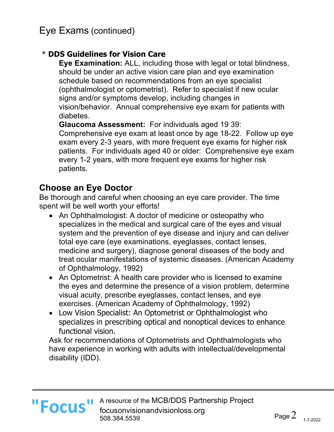#### \* **DDS Guidelines for Vision Care**

**Eye Examination:** ALL, including those with legal or total blindness, should be under an active vision care plan and eye examination schedule based on recommendations from an eye specialist (ophthalmologist or optometrist). Refer to specialist if new ocular signs and/or symptoms develop, including changes in vision/behavior. Annual comprehensive eye exam for patients with diabetes.

**Glaucoma Assessment:** For individuals aged 19 39: Comprehensive eye exam at least once by age 18-22. Follow up eye exam every 2-3 years, with more frequent eye exams for higher risk patients. For individuals aged 40 or older: Comprehensive eye exam every 1-2 years, with more frequent eye exams for higher risk patients.

#### **Choose an Eye Doctor**

Be thorough and careful when choosing an eye care provider. The time spent will be well worth your efforts!

- An Ophthalmologist: A doctor of medicine or osteopathy who specializes in the medical and surgical care of the eyes and visual system and the prevention of eye disease and injury and can deliver total eye care (eye examinations, eyeglasses, contact lenses, medicine and surgery), diagnose general diseases of the body and treat ocular manifestations of systemic diseases. (American Academy of Ophthalmology, 1992)
- An Optometrist: A health care provider who is licensed to examine the eyes and determine the presence of a vision problem, determine visual acuity, prescribe eyeglasses, contact lenses, and eye exercises. (American Academy of Ophthalmology, 1992)
- Low Vision Specialist: An Optometrist or Ophthalmologist who specializes in prescribing optical and nonoptical devices to enhance functional vision.

Ask for recommendations of Optometrists and Ophthalmologists who have experience in working with adults with intellectual/developmental disability (IDD).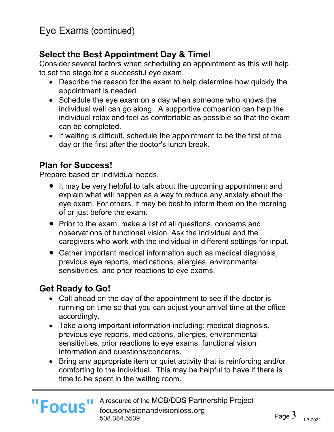## **Select the Best Appointment Day & Time!**

Consider several factors when scheduling an appointment as this will help to set the stage for a successful eye exam.

- Describe the reason for the exam to help determine how quickly the appointment is needed.
- Schedule the eye exam on a day when someone who knows the individual well can go along. A supportive companion can help the individual relax and feel as comfortable as possible so that the exam can be completed.
- If waiting is difficult, schedule the appointment to be the first of the day or the first after the doctor's lunch break.

# **Plan for Success!**

Prepare based on individual needs.

- It may be very helpful to talk about the upcoming appointment and explain what will happen as a way to reduce any anxiety about the eye exam. For others, it may be best to inform them on the morning of or just before the exam.
- Prior to the exam, make a list of all questions, concerns and observations of functional vision. Ask the individual and the caregivers who work with the individual in different settings for input.
- Gather important medical information such as medical diagnosis, previous eye reports, medications, allergies, environmental sensitivities, and prior reactions to eye exams.

#### **Get Ready to Go!**

- Call ahead on the day of the appointment to see if the doctor is running on time so that you can adjust your arrival time at the office accordingly.
- Take along important information including: medical diagnosis, previous eye reports, medications, allergies, environmental sensitivities, prior reactions to eye exams, functional vision information and questions/concerns.
- Bring any appropriate item or quiet activity that is reinforcing and/or comforting to the individual. This may be helpful to have if there is time to be spent in the waiting room.

**"Focus"**

A resource of the MCB/DDS Partnership Project focusonvisionandvisionloss.org 508.384.5539